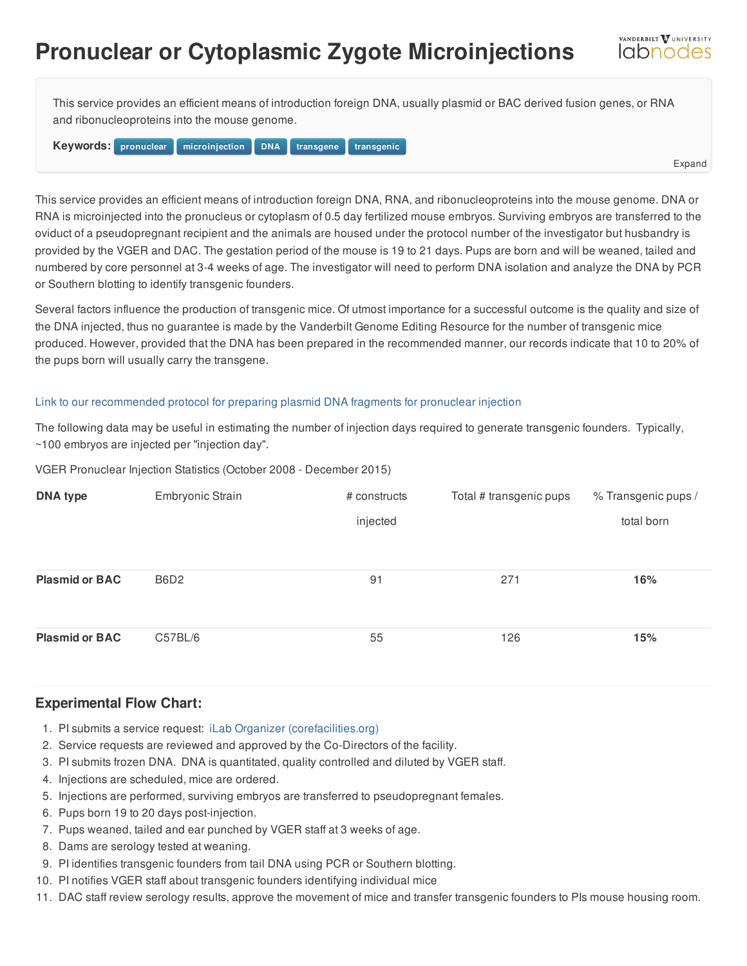## **Pronuclear or Cytoplasmic Zygote Microinjections**

This service provides an efficient means of introduction foreign DNA, usually plasmid or BAC derived fusion genes, or RNA and ribonucleoproteins into the mouse genome.

**Keywords:** pronuclear microinjection [DNA](/resource/keywords/keyword_id/21/id/285) transgene transgenic

Expand

VANDERBILT VUNIVERSITY *<u>Idbnodes</u>* 

This service provides an efficient means of introduction foreign DNA, RNA, and ribonucleoproteins into the mouse genome. DNA or RNA is microinjected into the pronucleus or cytoplasm of 0.5 day fertilized mouse embryos. Surviving embryos are transferred to the oviduct of a pseudopregnant recipient and the animals are housed under the protocol number of the investigator but husbandry is provided by the VGER and DAC. The [gestation](https://labnodes.vanderbilt.edu/resource/view/id/3566/collection_id/1069/community_id/8) period of the mouse is 19 to 21 days. Pups are born and will be weaned, tailed and numbered by core personnel at 3-4 weeks of age. The investigator will need to perform DNA isolation and analyze the DNA by PCR or Southern blotting to identify transgenic founders.

Several factors influence the production of transgenic mice. Of utmost importance for a successful outcome is the quality and size of the DNA injected, thus no guarantee is made by the Vanderbilt Genome Editing Resource for the number of transgenic mice produced. However, provided that the DNA has been prepared in the recommended manner, our records indicate that 10 to 20% of the pups born will usually carry the transgene.

## Link to our [recommended](/resource/view/id/300) protocol for preparing plasmid DNA fragments for pronuclear injection

The following data may be useful in estimating the number of injection days required to generate transgenic founders. Typically, ~100 embryos are injected per "injection day".

VGER Pronuclear Injection Statistics (October 2008 - December 2015)

| <b>DNA type</b>       | Embryonic Strain | # constructs | Total # transgenic pups | % Transgenic pups / |
|-----------------------|------------------|--------------|-------------------------|---------------------|
|                       |                  | injected     |                         | total born          |
|                       |                  |              |                         |                     |
| <b>Plasmid or BAC</b> | B6D2             | 91           | 271                     | 16%                 |
|                       |                  |              |                         |                     |
| <b>Plasmid or BAC</b> | C57BL/6          | 55           | 126                     | 15%                 |

## **Experimental Flow Chart:**

- 1. PI submits a service request: iLab Organizer [\(corefacilities.org\)](https://vanderbilt.corefacilities.org/landing/2191)
- 2. Service requests are reviewed and approved by the Co-Directors of the facility.
- 3. PI submits frozen DNA. DNA is quantitated, quality controlled and diluted by VGER staff.
- 4. Injections are scheduled, mice are ordered.
- 5. Injections are performed, surviving embryos are transferred to pseudopregnant females.
- 6. Pups born 19 to 20 days post-injection.
- 7. Pups weaned, tailed and ear punched by VGER staff at 3 weeks of age.
- 8. Dams are serology tested at weaning.
- 9. PI identifies transgenic founders from tail DNA using PCR or Southern blotting.
- 10. PI notifies VGER staff about transgenic founders identifying individual mice
- 11. DAC staff review serology results, approve the movement of mice and transfer transgenic founders to PIs mouse housing room.